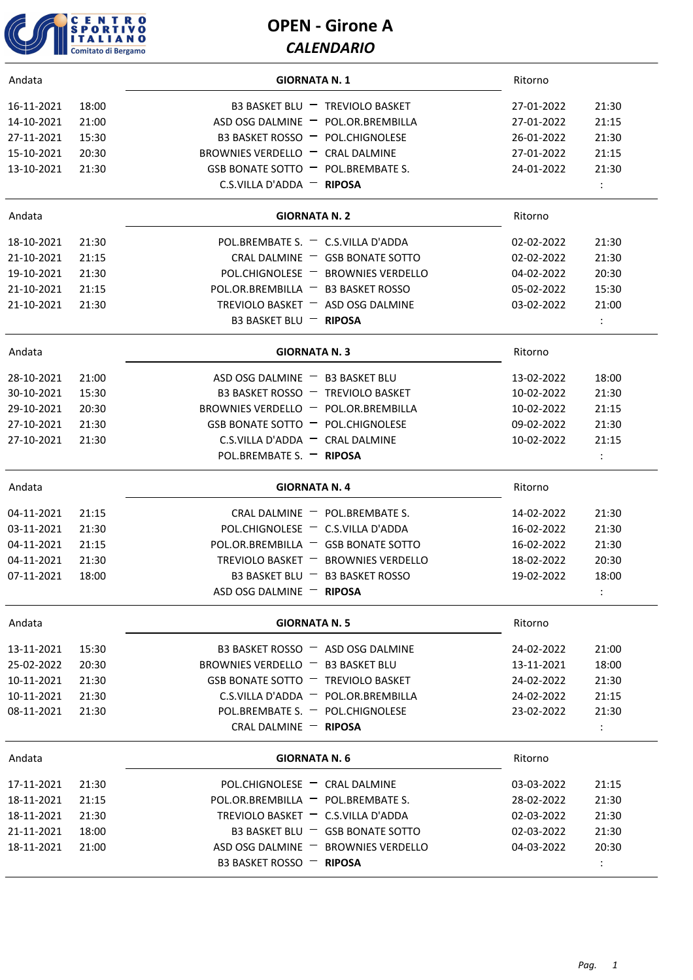

## **OPEN - Girone A** *CALENDARIO*

| Andata     |       | <b>GIORNATA N. 1</b>                            | Ritorno    |                      |
|------------|-------|-------------------------------------------------|------------|----------------------|
| 16-11-2021 | 18:00 | B3 BASKET BLU - TREVIOLO BASKET                 | 27-01-2022 | 21:30                |
| 14-10-2021 | 21:00 | POL.OR.BREMBILLA<br>ASD OSG DALMINE $\top$      | 27-01-2022 | 21:15                |
| 27-11-2021 | 15:30 | B3 BASKET ROSSO - POL.CHIGNOLESE                | 26-01-2022 | 21:30                |
| 15-10-2021 | 20:30 | BROWNIES VERDELLO $-$<br><b>CRAL DALMINE</b>    | 27-01-2022 | 21:15                |
| 13-10-2021 | 21:30 | GSB BONATE SOTTO $-$ POL. BREMBATE S.           | 24-01-2022 | 21:30                |
|            |       | C.S.VILLA D'ADDA $-$<br><b>RIPOSA</b>           |            | $\ddot{\cdot}$       |
| Andata     |       | <b>GIORNATA N. 2</b>                            | Ritorno    |                      |
| 18-10-2021 | 21:30 | POL.BREMBATE S. - C.S.VILLA D'ADDA              | 02-02-2022 | 21:30                |
| 21-10-2021 | 21:15 | CRAL DALMINE - GSB BONATE SOTTO                 | 02-02-2022 | 21:30                |
| 19-10-2021 | 21:30 | POL. CHIGNOLESE $-$ BROWNIES VERDELLO           | 04-02-2022 | 20:30                |
| 21-10-2021 | 21:15 | POL.OR.BREMBILLA $-$<br><b>B3 BASKET ROSSO</b>  | 05-02-2022 | 15:30                |
| 21-10-2021 | 21:30 | TREVIOLO BASKET $-$ ASD OSG DALMINE             | 03-02-2022 | 21:00                |
|            |       | B3 BASKET BLU $-$ RIPOSA                        |            | $\ddot{\phantom{a}}$ |
| Andata     |       | <b>GIORNATA N. 3</b>                            | Ritorno    |                      |
| 28-10-2021 | 21:00 | ASD OSG DALMINE $-$ B3 BASKET BLU               | 13-02-2022 | 18:00                |
| 30-10-2021 | 15:30 | B3 BASKET ROSSO - TREVIOLO BASKET               | 10-02-2022 | 21:30                |
| 29-10-2021 | 20:30 | BROWNIES VERDELLO $-$ POL.OR.BREMBILLA          | 10-02-2022 | 21:15                |
| 27-10-2021 | 21:30 | GSB BONATE SOTTO - POL.CHIGNOLESE               | 09-02-2022 | 21:30                |
| 27-10-2021 | 21:30 | C.S.VILLA D'ADDA $-$<br><b>CRAL DALMINE</b>     | 10-02-2022 | 21:15                |
|            |       | POL.BREMBATE S. $-$ RIPOSA                      |            |                      |
| Andata     |       | <b>GIORNATA N. 4</b>                            | Ritorno    |                      |
| 04-11-2021 | 21:15 | CRAL DALMINE $-$ POL.BREMBATE S.                | 14-02-2022 | 21:30                |
| 03-11-2021 | 21:30 | POL.CHIGNOLESE $-$ C.S.VILLA D'ADDA             | 16-02-2022 | 21:30                |
| 04-11-2021 | 21:15 | POL.OR.BREMBILLA $-$<br><b>GSB BONATE SOTTO</b> | 16-02-2022 | 21:30                |
| 04-11-2021 | 21:30 | TREVIOLO BASKET -<br><b>BROWNIES VERDELLO</b>   | 18-02-2022 | 20:30                |
| 07-11-2021 | 18:00 | B3 BASKET BLU - B3 BASKET ROSSO                 | 19-02-2022 | 18:00                |
|            |       | ASD OSG DALMINE $-$ RIPOSA                      |            |                      |
| Andata     |       | <b>GIORNATA N. 5</b>                            | Ritorno    |                      |
| 13-11-2021 | 15:30 | B3 BASKET ROSSO - ASD OSG DALMINE               | 24-02-2022 | 21:00                |
| 25-02-2022 | 20:30 | BROWNIES VERDELLO $-$ B3 BASKET BLU             | 13-11-2021 | 18:00                |
| 10-11-2021 | 21:30 | GSB BONATE SOTTO $-$ TREVIOLO BASKET            | 24-02-2022 | 21:30                |
| 10-11-2021 | 21:30 | C.S.VILLA D'ADDA $-$ POL.OR.BREMBILLA           | 24-02-2022 | 21:15                |
| 08-11-2021 | 21:30 | POL.BREMBATE S. - POL.CHIGNOLESE                | 23-02-2022 | 21:30                |
|            |       | CRAL DALMINE $-$ RIPOSA                         |            | $\ddot{\phantom{a}}$ |
| Andata     |       | <b>GIORNATA N. 6</b>                            | Ritorno    |                      |
| 17-11-2021 | 21:30 | POL. CHIGNOLESE $-$ CRAL DALMINE                | 03-03-2022 | 21:15                |
| 18-11-2021 | 21:15 | POL.OR.BREMBILLA $-$ POL.BREMBATE S.            | 28-02-2022 | 21:30                |
| 18-11-2021 | 21:30 | TREVIOLO BASKET - C.S.VILLA D'ADDA              | 02-03-2022 | 21:30                |
| 21-11-2021 | 18:00 | B3 BASKET BLU - GSB BONATE SOTTO                | 02-03-2022 | 21:30                |
| 18-11-2021 | 21:00 | ASD OSG DALMINE $-$ BROWNIES VERDELLO           | 04-03-2022 | 20:30                |
|            |       | B3 BASKET ROSSO $-$ RIPOSA                      |            | $\ddot{\phantom{a}}$ |